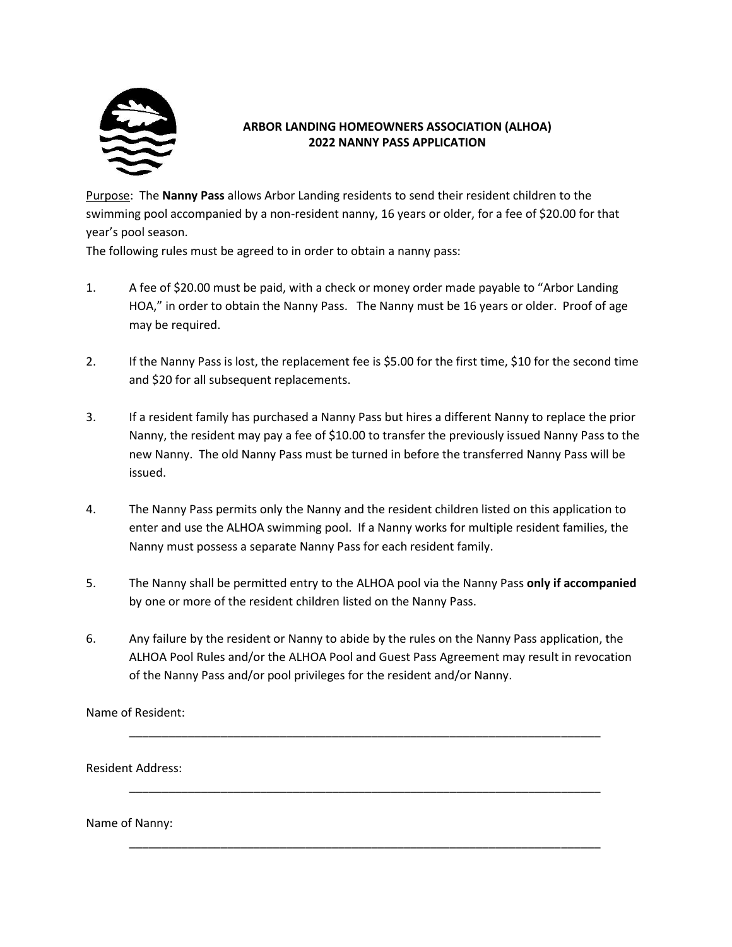

## **ARBOR LANDING HOMEOWNERS ASSOCIATION (ALHOA) 2022 NANNY PASS APPLICATION**

Purpose: The **Nanny Pass** allows Arbor Landing residents to send their resident children to the swimming pool accompanied by a non-resident nanny, 16 years or older, for a fee of \$20.00 for that year's pool season.

The following rules must be agreed to in order to obtain a nanny pass:

- 1. A fee of \$20.00 must be paid, with a check or money order made payable to "Arbor Landing HOA," in order to obtain the Nanny Pass. The Nanny must be 16 years or older. Proof of age may be required.
- 2. If the Nanny Pass is lost, the replacement fee is \$5.00 for the first time, \$10 for the second time and \$20 for all subsequent replacements.
- 3. If a resident family has purchased a Nanny Pass but hires a different Nanny to replace the prior Nanny, the resident may pay a fee of \$10.00 to transfer the previously issued Nanny Pass to the new Nanny. The old Nanny Pass must be turned in before the transferred Nanny Pass will be issued.
- 4. The Nanny Pass permits only the Nanny and the resident children listed on this application to enter and use the ALHOA swimming pool. If a Nanny works for multiple resident families, the Nanny must possess a separate Nanny Pass for each resident family.
- 5. The Nanny shall be permitted entry to the ALHOA pool via the Nanny Pass **only if accompanied** by one or more of the resident children listed on the Nanny Pass.
- 6. Any failure by the resident or Nanny to abide by the rules on the Nanny Pass application, the ALHOA Pool Rules and/or the ALHOA Pool and Guest Pass Agreement may result in revocation of the Nanny Pass and/or pool privileges for the resident and/or Nanny.

\_\_\_\_\_\_\_\_\_\_\_\_\_\_\_\_\_\_\_\_\_\_\_\_\_\_\_\_\_\_\_\_\_\_\_\_\_\_\_\_\_\_\_\_\_\_\_\_\_\_\_\_\_\_\_\_\_\_\_\_\_\_\_\_\_\_\_\_\_\_\_\_

\_\_\_\_\_\_\_\_\_\_\_\_\_\_\_\_\_\_\_\_\_\_\_\_\_\_\_\_\_\_\_\_\_\_\_\_\_\_\_\_\_\_\_\_\_\_\_\_\_\_\_\_\_\_\_\_\_\_\_\_\_\_\_\_\_\_\_\_\_\_\_\_

\_\_\_\_\_\_\_\_\_\_\_\_\_\_\_\_\_\_\_\_\_\_\_\_\_\_\_\_\_\_\_\_\_\_\_\_\_\_\_\_\_\_\_\_\_\_\_\_\_\_\_\_\_\_\_\_\_\_\_\_\_\_\_\_\_\_\_\_\_\_\_\_

Name of Resident:

Resident Address:

Name of Nanny: